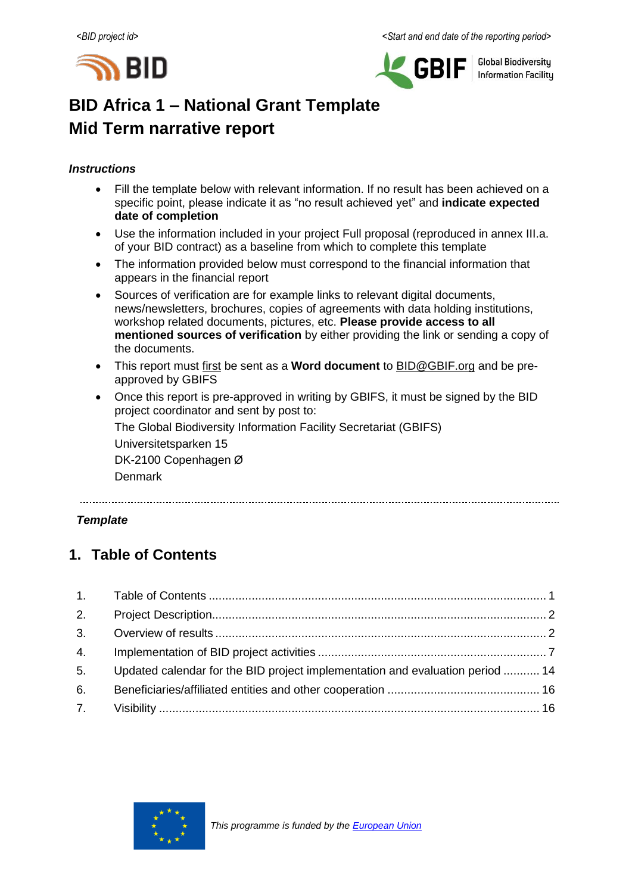



**Global Biodiversity Information Facility** 

# **BID Africa 1 – National Grant Template Mid Term narrative report**

### *Instructions*

- Fill the template below with relevant information. If no result has been achieved on a specific point, please indicate it as "no result achieved yet" and **indicate expected date of completion**
- Use the information included in your project Full proposal (reproduced in annex III.a. of your BID contract) as a baseline from which to complete this template
- The information provided below must correspond to the financial information that appears in the financial report
- Sources of verification are for example links to relevant digital documents, news/newsletters, brochures, copies of agreements with data holding institutions, workshop related documents, pictures, etc. **Please provide access to all mentioned sources of verification** by either providing the link or sending a copy of the documents.
- This report must first be sent as a **Word document** to [BID@GBIF.org](mailto:BID@GBIF.org) and be preapproved by GBIFS
- Once this report is pre-approved in writing by GBIFS, it must be signed by the BID project coordinator and sent by post to:

The Global Biodiversity Information Facility Secretariat (GBIFS)

Universitetsparken 15

DK-2100 Copenhagen Ø

Denmark

### *Template*

## <span id="page-0-0"></span>**1. Table of Contents**

| 2. |                                                                               |  |
|----|-------------------------------------------------------------------------------|--|
|    |                                                                               |  |
| 4. |                                                                               |  |
| 5. | Updated calendar for the BID project implementation and evaluation period  14 |  |
| 6. |                                                                               |  |
|    |                                                                               |  |

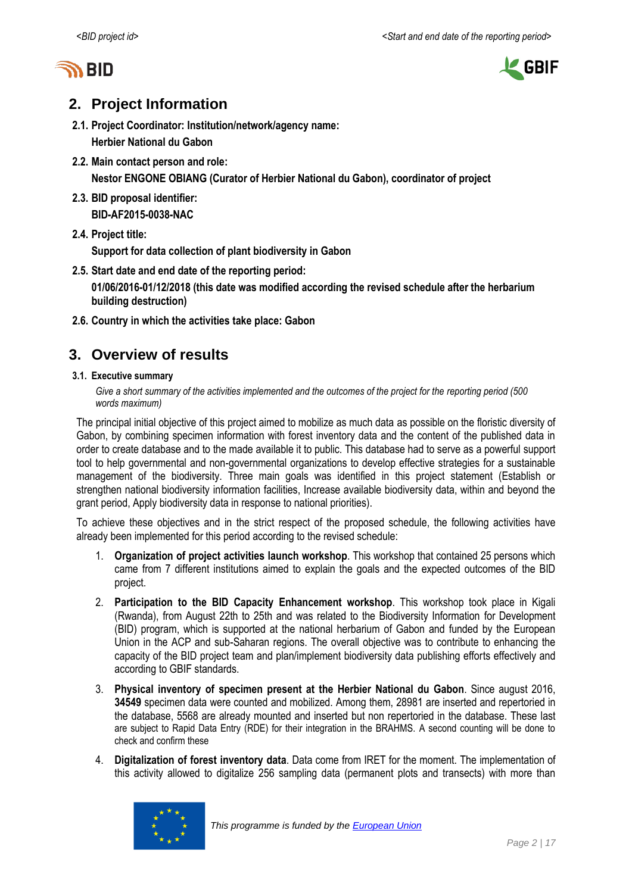



## <span id="page-1-0"></span>**2. Project Information**

- **2.1. Project Coordinator: Institution/network/agency name: Herbier National du Gabon**
- **2.2. Main contact person and role: Nestor ENGONE OBIANG (Curator of Herbier National du Gabon), coordinator of project**
- **2.3. BID proposal identifier: BID-AF2015-0038-NAC**
- **2.4. Project title:**

**Support for data collection of plant biodiversity in Gabon**

**2.5. Start date and end date of the reporting period:**

**01/06/2016-01/12/2018 (this date was modified according the revised schedule after the herbarium building destruction)**

<span id="page-1-1"></span>**2.6. Country in which the activities take place: Gabon**

## **3. Overview of results**

#### **3.1. Executive summary**

Give a short summary of the activities implemented and the outcomes of the project for the *reporting period* (500 *words maximum)*

The principal initial objective of this project aimed to mobilize as much data as possible on the floristic diversity of Gabon, by combining specimen information with forest inventory data and the content of the published data in order to create database and to the made available it to public. This database had to serve as a powerful support tool to help governmental and non-governmental organizations to develop effective strategies for a sustainable management of the biodiversity. Three main goals was identified in this project statement (Establish or strengthen national biodiversity information facilities, Increase available biodiversity data, within and beyond the grant period, Apply biodiversity data in response to national priorities).

To achieve these objectives and in the strict respect of the proposed schedule, the following activities have already been implemented for this period according to the revised schedule:

- 1. **Organization of project activities launch workshop**. This workshop that contained 25 persons which came from 7 different institutions aimed to explain the goals and the expected outcomes of the BID project.
- 2. **Participation to the BID Capacity Enhancement workshop**. This workshop took place in Kigali (Rwanda), from August 22th to 25th and was related to the Biodiversity Information for Development (BID) program, which is supported at the national herbarium of Gabon and funded by the European Union in the ACP and sub-Saharan regions. The overall objective was to contribute to enhancing the capacity of the BID project team and plan/implement biodiversity data publishing efforts effectively and according to GBIF standards.
- 3. **Physical inventory of specimen present at the Herbier National du Gabon**. Since august 2016, **34549** specimen data were counted and mobilized. Among them, 28981 are inserted and repertoried in the database, 5568 are already mounted and inserted but non repertoried in the database. These last are subject to Rapid Data Entry (RDE) for their integration in the BRAHMS. A second counting will be done to check and confirm these
- 4. **Digitalization of forest inventory data**. Data come from IRET for the moment. The implementation of this activity allowed to digitalize 256 sampling data (permanent plots and transects) with more than

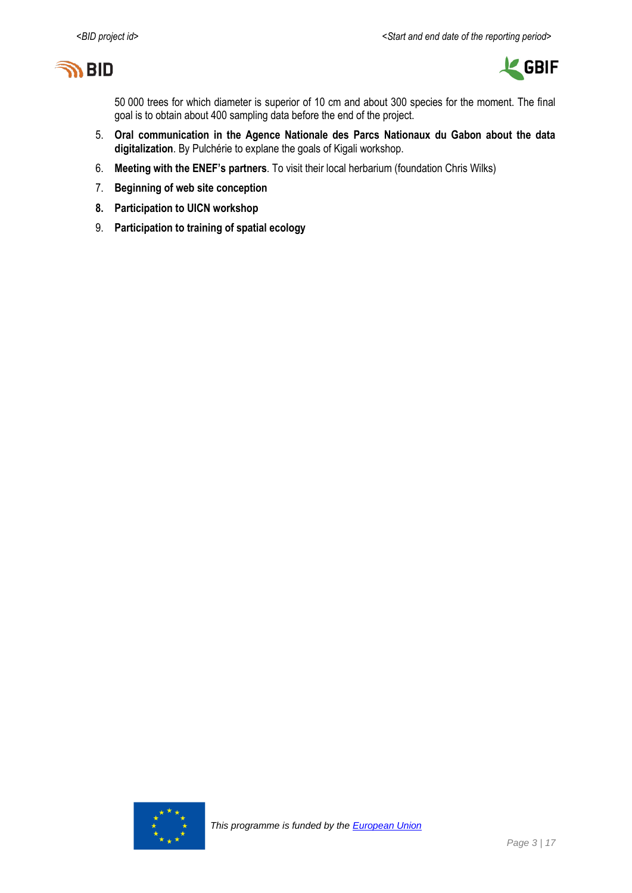



50 000 trees for which diameter is superior of 10 cm and about 300 species for the moment. The final goal is to obtain about 400 sampling data before the end of the project.

- 5. **Oral communication in the Agence Nationale des Parcs Nationaux du Gabon about the data digitalization**. By Pulchérie to explane the goals of Kigali workshop.
- 6. **Meeting with the ENEF's partners**. To visit their local herbarium (foundation Chris Wilks)
- 7. **Beginning of web site conception**
- **8. Participation to UICN workshop**
- 9. **Participation to training of spatial ecology**

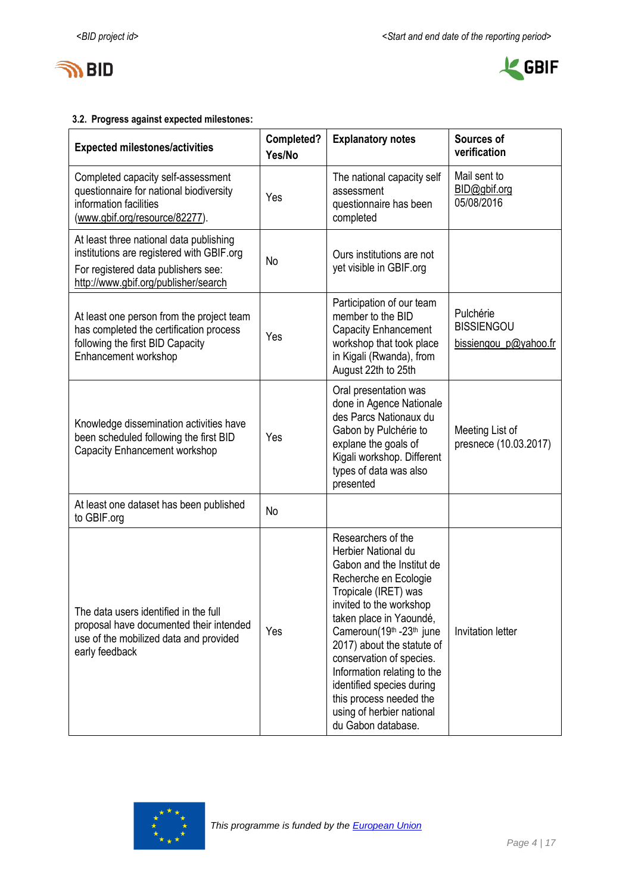



### **3.2. Progress against expected milestones:**

| <b>Expected milestones/activities</b>                                                                                                                               | Completed?<br>Yes/No | <b>Explanatory notes</b>                                                                                                                                                                                                                                                                                                                                                                                      | Sources of<br>verification                              |
|---------------------------------------------------------------------------------------------------------------------------------------------------------------------|----------------------|---------------------------------------------------------------------------------------------------------------------------------------------------------------------------------------------------------------------------------------------------------------------------------------------------------------------------------------------------------------------------------------------------------------|---------------------------------------------------------|
| Completed capacity self-assessment<br>questionnaire for national biodiversity<br>information facilities<br>(www.gbif.org/resource/82277).                           | Yes                  | The national capacity self<br>assessment<br>questionnaire has been<br>completed                                                                                                                                                                                                                                                                                                                               | Mail sent to<br>BID@gbif.org<br>05/08/2016              |
| At least three national data publishing<br>institutions are registered with GBIF.org<br>For registered data publishers see:<br>http://www.gbif.org/publisher/search | No                   | Ours institutions are not<br>yet visible in GBIF.org                                                                                                                                                                                                                                                                                                                                                          |                                                         |
| At least one person from the project team<br>has completed the certification process<br>following the first BID Capacity<br>Enhancement workshop                    | Yes                  | Participation of our team<br>member to the BID<br><b>Capacity Enhancement</b><br>workshop that took place<br>in Kigali (Rwanda), from<br>August 22th to 25th                                                                                                                                                                                                                                                  | Pulchérie<br><b>BISSIENGOU</b><br>bissiengou_p@yahoo.fr |
| Knowledge dissemination activities have<br>been scheduled following the first BID<br>Capacity Enhancement workshop                                                  | Yes                  | Oral presentation was<br>done in Agence Nationale<br>des Parcs Nationaux du<br>Gabon by Pulchérie to<br>explane the goals of<br>Kigali workshop. Different<br>types of data was also<br>presented                                                                                                                                                                                                             | Meeting List of<br>presnece (10.03.2017)                |
| At least one dataset has been published<br>to GBIF.org                                                                                                              | No                   |                                                                                                                                                                                                                                                                                                                                                                                                               |                                                         |
| The data users identified in the full<br>proposal have documented their intended<br>use of the mobilized data and provided<br>early feedback                        | Yes                  | Researchers of the<br>Herbier National du<br>Gabon and the Institut de<br>Recherche en Ecologie<br>Tropicale (IRET) was<br>invited to the workshop<br>taken place in Yaoundé,<br>Cameroun(19th -23th june<br>2017) about the statute of<br>conservation of species.<br>Information relating to the<br>identified species during<br>this process needed the<br>using of herbier national<br>du Gabon database. | <b>Invitation letter</b>                                |

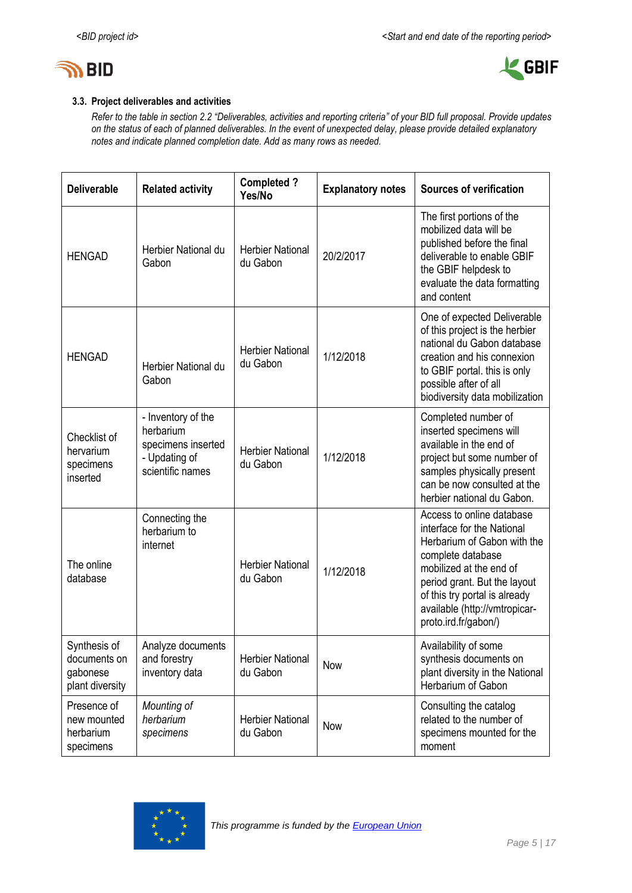



### **3.3. Project deliverables and activities**

*Refer to the table in section 2.2 "Deliverables, activities and reporting criteria" of your BID full proposal. Provide updates on the status of each of planned deliverables. In the event of unexpected delay, please provide detailed explanatory notes and indicate planned completion date. Add as many rows as needed.*

| <b>Deliverable</b>                                          | <b>Related activity</b>                                                                    | <b>Completed?</b><br>Yes/No         | <b>Explanatory notes</b> | <b>Sources of verification</b>                                                                                                                                                                                                                                   |
|-------------------------------------------------------------|--------------------------------------------------------------------------------------------|-------------------------------------|--------------------------|------------------------------------------------------------------------------------------------------------------------------------------------------------------------------------------------------------------------------------------------------------------|
| <b>HENGAD</b>                                               | Herbier National du<br>Gabon                                                               | <b>Herbier National</b><br>du Gabon | 20/2/2017                | The first portions of the<br>mobilized data will be<br>published before the final<br>deliverable to enable GBIF<br>the GBIF helpdesk to<br>evaluate the data formatting<br>and content                                                                           |
| <b>HENGAD</b>                                               | Herbier National du<br>Gabon                                                               | <b>Herbier National</b><br>du Gabon | 1/12/2018                | One of expected Deliverable<br>of this project is the herbier<br>national du Gabon database<br>creation and his connexion<br>to GBIF portal. this is only<br>possible after of all<br>biodiversity data mobilization                                             |
| Checklist of<br>hervarium<br>specimens<br>inserted          | - Inventory of the<br>herbarium<br>specimens inserted<br>- Updating of<br>scientific names | <b>Herbier National</b><br>du Gabon | 1/12/2018                | Completed number of<br>inserted specimens will<br>available in the end of<br>project but some number of<br>samples physically present<br>can be now consulted at the<br>herbier national du Gabon.                                                               |
| The online<br>database                                      | Connecting the<br>herbarium to<br>internet                                                 | <b>Herbier National</b><br>du Gabon | 1/12/2018                | Access to online database<br>interface for the National<br>Herbarium of Gabon with the<br>complete database<br>mobilized at the end of<br>period grant. But the layout<br>of this try portal is already<br>available (http://vmtropicar-<br>proto.ird.fr/gabon/) |
| Synthesis of<br>documents on<br>gabonese<br>plant diversity | Analyze documents<br>and forestry<br>inventory data                                        | <b>Herbier National</b><br>du Gabon | Now                      | Availability of some<br>synthesis documents on<br>plant diversity in the National<br>Herbarium of Gabon                                                                                                                                                          |
| Presence of<br>new mounted<br>herbarium<br>specimens        | Mounting of<br>herbarium<br>specimens                                                      | <b>Herbier National</b><br>du Gabon | Now                      | Consulting the catalog<br>related to the number of<br>specimens mounted for the<br>moment                                                                                                                                                                        |

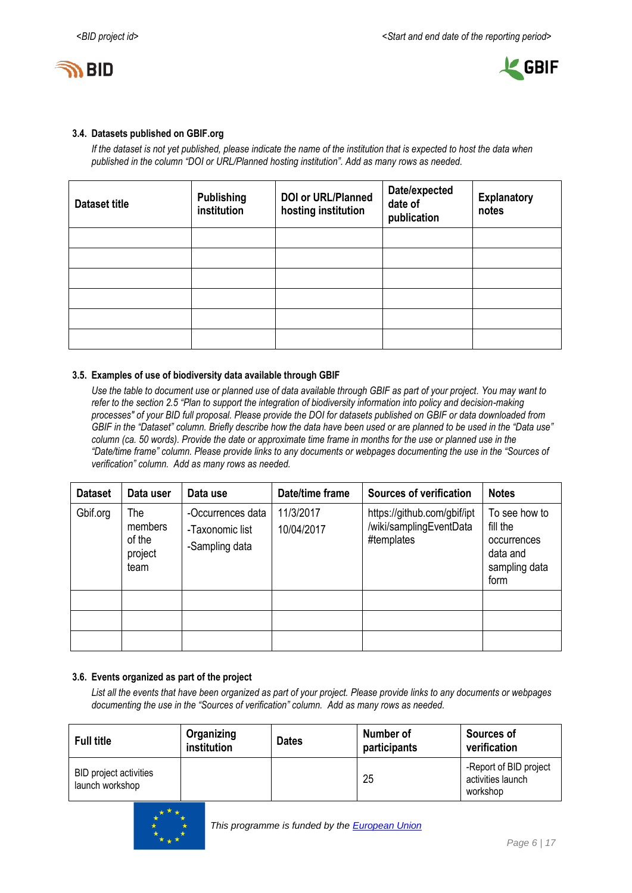



#### **3.4. Datasets published on GBIF.org**

*If the dataset is not yet published, please indicate the name of the institution that is expected to host the data when published in the column "DOI or URL/Planned hosting institution". Add as many rows as needed.*

| <b>Dataset title</b> | <b>Publishing</b><br>institution | <b>DOI or URL/Planned</b><br>hosting institution | Date/expected<br>date of<br>publication | <b>Explanatory</b><br>notes |
|----------------------|----------------------------------|--------------------------------------------------|-----------------------------------------|-----------------------------|
|                      |                                  |                                                  |                                         |                             |
|                      |                                  |                                                  |                                         |                             |
|                      |                                  |                                                  |                                         |                             |
|                      |                                  |                                                  |                                         |                             |
|                      |                                  |                                                  |                                         |                             |
|                      |                                  |                                                  |                                         |                             |

#### **3.5. Examples of use of biodiversity data available through GBIF**

*Use the table to document use or planned use of data available through GBIF as part of your project. You may want to refer to the section 2.5 "Plan to support the integration of biodiversity information into policy and decision-making processes" of your BID full proposal. Please provide the DOI for datasets published on GBIF or data downloaded from GBIF in the "Dataset" column. Briefly describe how the data have been used or are planned to be used in the "Data use" column (ca. 50 words). Provide the date or approximate time frame in months for the use or planned use in the "Date/time frame" column. Please provide links to any documents or webpages documenting the use in the "Sources of verification" column. Add as many rows as needed.*

| <b>Dataset</b> | Data user                                   | Data use                                               | Date/time frame         | <b>Sources of verification</b>                                       | <b>Notes</b>                                                                  |
|----------------|---------------------------------------------|--------------------------------------------------------|-------------------------|----------------------------------------------------------------------|-------------------------------------------------------------------------------|
| Gbif.org       | The<br>members<br>of the<br>project<br>team | -Occurrences data<br>-Taxonomic list<br>-Sampling data | 11/3/2017<br>10/04/2017 | https://github.com/gbif/ipt<br>/wiki/samplingEventData<br>#templates | To see how to<br>fill the<br>occurrences<br>data and<br>sampling data<br>form |
|                |                                             |                                                        |                         |                                                                      |                                                                               |
|                |                                             |                                                        |                         |                                                                      |                                                                               |
|                |                                             |                                                        |                         |                                                                      |                                                                               |

### **3.6. Events organized as part of the project**

*List all the events that have been organized as part of your project. Please provide links to any documents or webpages documenting the use in the "Sources of verification" column. Add as many rows as needed.*

| <b>Full title</b>                                | Organizing<br>institution | <b>Dates</b> | Number of<br>participants | <b>Sources of</b><br>verification                       |  |  |  |
|--------------------------------------------------|---------------------------|--------------|---------------------------|---------------------------------------------------------|--|--|--|
| <b>BID</b> project activities<br>launch workshop |                           |              | 25                        | -Report of BID project<br>activities launch<br>workshop |  |  |  |

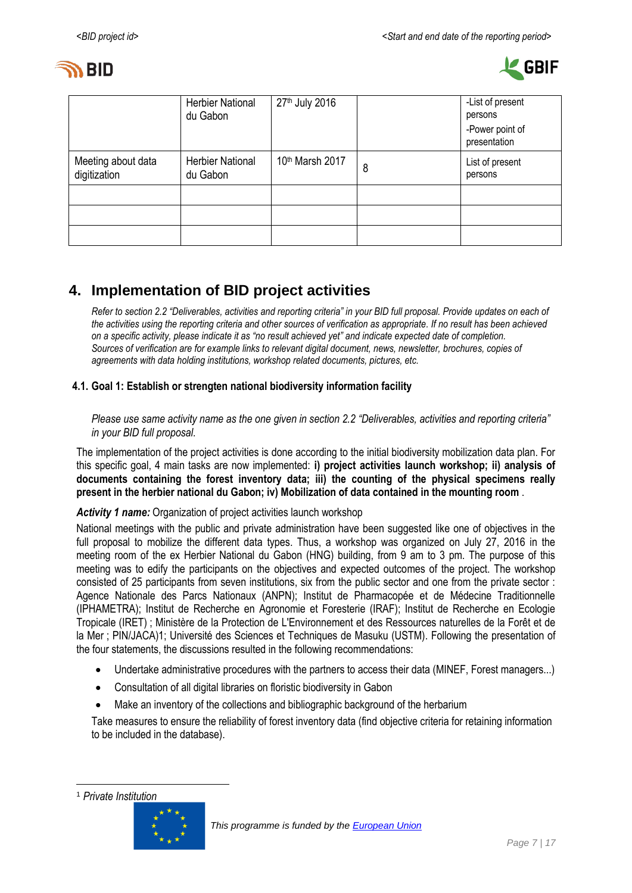



|                                    | <b>Herbier National</b><br>du Gabon | 27th July 2016  |   | -List of present<br>persons<br>-Power point of<br>presentation |
|------------------------------------|-------------------------------------|-----------------|---|----------------------------------------------------------------|
| Meeting about data<br>digitization | <b>Herbier National</b><br>du Gabon | 10th Marsh 2017 | 8 | List of present<br>persons                                     |
|                                    |                                     |                 |   |                                                                |
|                                    |                                     |                 |   |                                                                |
|                                    |                                     |                 |   |                                                                |

## <span id="page-6-0"></span>**4. Implementation of BID project activities**

*Refer to section 2.2 "Deliverables, activities and reporting criteria" in your BID full proposal. Provide updates on each of the activities using the reporting criteria and other sources of verification as appropriate. If no result has been achieved on a specific activity, please indicate it as "no result achieved yet" and indicate expected date of completion. Sources of verification are for example links to relevant digital document, news, newsletter, brochures, copies of agreements with data holding institutions, workshop related documents, pictures, etc.*

### **4.1. Goal 1: Establish or strengten national biodiversity information facility**

*Please use same activity name as the one given in section 2.2 "Deliverables, activities and reporting criteria" in your BID full proposal.*

The implementation of the project activities is done according to the initial biodiversity mobilization data plan. For this specific goal, 4 main tasks are now implemented: **i) project activities launch workshop; ii) analysis of documents containing the forest inventory data; iii) the counting of the physical specimens really present in the herbier national du Gabon; iv) Mobilization of data contained in the mounting room** .

### *Activity 1 name:* Organization of project activities launch workshop

National meetings with the public and private administration have been suggested like one of objectives in the full proposal to mobilize the different data types. Thus, a workshop was organized on July 27, 2016 in the meeting room of the ex Herbier National du Gabon (HNG) building, from 9 am to 3 pm. The purpose of this meeting was to edify the participants on the objectives and expected outcomes of the project. The workshop consisted of 25 participants from seven institutions, six from the public sector and one from the private sector : Agence Nationale des Parcs Nationaux (ANPN); Institut de Pharmacopée et de Médecine Traditionnelle (IPHAMETRA); Institut de Recherche en Agronomie et Foresterie (IRAF); Institut de Recherche en Ecologie Tropicale (IRET) ; Ministère de la Protection de L'Environnement et des Ressources naturelles de la Forêt et de la Mer ; PIN/JACA)1; Université des Sciences et Techniques de Masuku (USTM). Following the presentation of the four statements, the discussions resulted in the following recommendations:

- Undertake administrative procedures with the partners to access their data (MINEF, Forest managers...)
- Consultation of all digital libraries on floristic biodiversity in Gabon
- Make an inventory of the collections and bibliographic background of the herbarium

Take measures to ensure the reliability of forest inventory data (find objective criteria for retaining information to be included in the database).

-



<sup>1</sup> *Private Institution*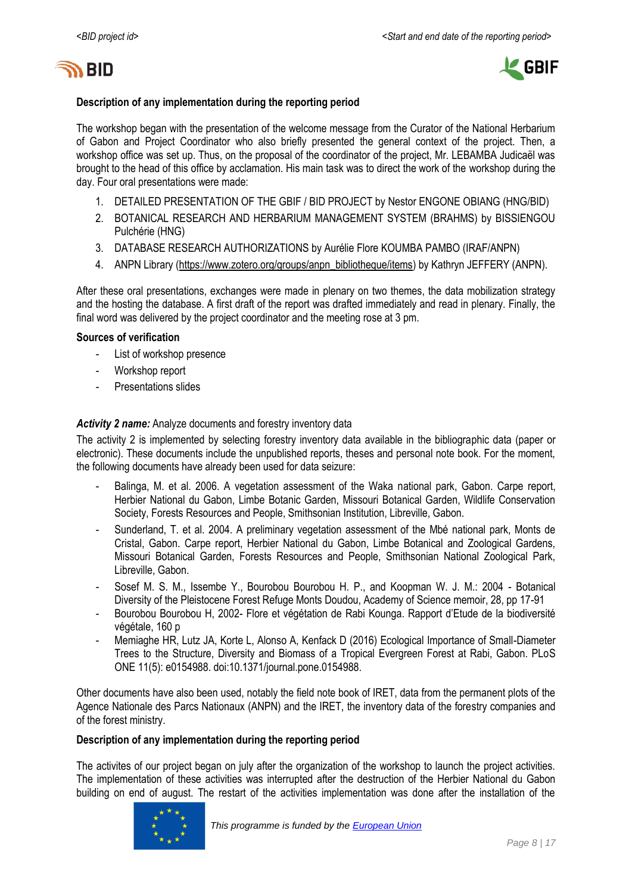



#### **Description of any implementation during the reporting period**

The workshop began with the presentation of the welcome message from the Curator of the National Herbarium of Gabon and Project Coordinator who also briefly presented the general context of the project. Then, a workshop office was set up. Thus, on the proposal of the coordinator of the project, Mr. LEBAMBA Judicaël was brought to the head of this office by acclamation. His main task was to direct the work of the workshop during the day. Four oral presentations were made:

- 1. DETAILED PRESENTATION OF THE GBIF / BID PROJECT by Nestor ENGONE OBIANG (HNG/BID)
- 2. BOTANICAL RESEARCH AND HERBARIUM MANAGEMENT SYSTEM (BRAHMS) by BISSIENGOU Pulchérie (HNG)
- 3. DATABASE RESEARCH AUTHORIZATIONS by Aurélie Flore KOUMBA PAMBO (IRAF/ANPN)
- 4. ANPN Library [\(https://www.zotero.org/groups/anpn\\_bibliotheque/items\)](https://www.zotero.org/groups/anpn_bibliotheque/items) by Kathryn JEFFERY (ANPN).

After these oral presentations, exchanges were made in plenary on two themes, the data mobilization strategy and the hosting the database. A first draft of the report was drafted immediately and read in plenary. Finally, the final word was delivered by the project coordinator and the meeting rose at 3 pm.

#### **Sources of verification**

- List of workshop presence
- Workshop report
- Presentations slides

#### *Activity 2 name:* Analyze documents and forestry inventory data

The activity 2 is implemented by selecting forestry inventory data available in the bibliographic data (paper or electronic). These documents include the unpublished reports, theses and personal note book. For the moment, the following documents have already been used for data seizure:

- Balinga, M. et al. 2006. A vegetation assessment of the Waka national park, Gabon. Carpe report, Herbier National du Gabon, Limbe Botanic Garden, Missouri Botanical Garden, Wildlife Conservation Society, Forests Resources and People, Smithsonian Institution, Libreville, Gabon.
- Sunderland, T. et al. 2004. A preliminary vegetation assessment of the Mbé national park, Monts de Cristal, Gabon. Carpe report, Herbier National du Gabon, Limbe Botanical and Zoological Gardens, Missouri Botanical Garden, Forests Resources and People, Smithsonian National Zoological Park, Libreville, Gabon.
- Sosef M. S. M., Issembe Y., Bourobou Bourobou H. P., and Koopman W. J. M.: 2004 Botanical Diversity of the Pleistocene Forest Refuge Monts Doudou, Academy of Science memoir, 28, pp 17-91
- Bourobou Bourobou H, 2002- Flore et végétation de Rabi Kounga. Rapport d'Etude de la biodiversité végétale, 160 p
- Memiaghe HR, Lutz JA, Korte L, Alonso A, Kenfack D (2016) Ecological Importance of Small-Diameter Trees to the Structure, Diversity and Biomass of a Tropical Evergreen Forest at Rabi, Gabon. PLoS ONE 11(5): e0154988. doi:10.1371/journal.pone.0154988.

Other documents have also been used, notably the field note book of IRET, data from the permanent plots of the Agence Nationale des Parcs Nationaux (ANPN) and the IRET, the inventory data of the forestry companies and of the forest ministry.

#### **Description of any implementation during the reporting period**

The activites of our project began on july after the organization of the workshop to launch the project activities. The implementation of these activities was interrupted after the destruction of the Herbier National du Gabon building on end of august. The restart of the activities implementation was done after the installation of the

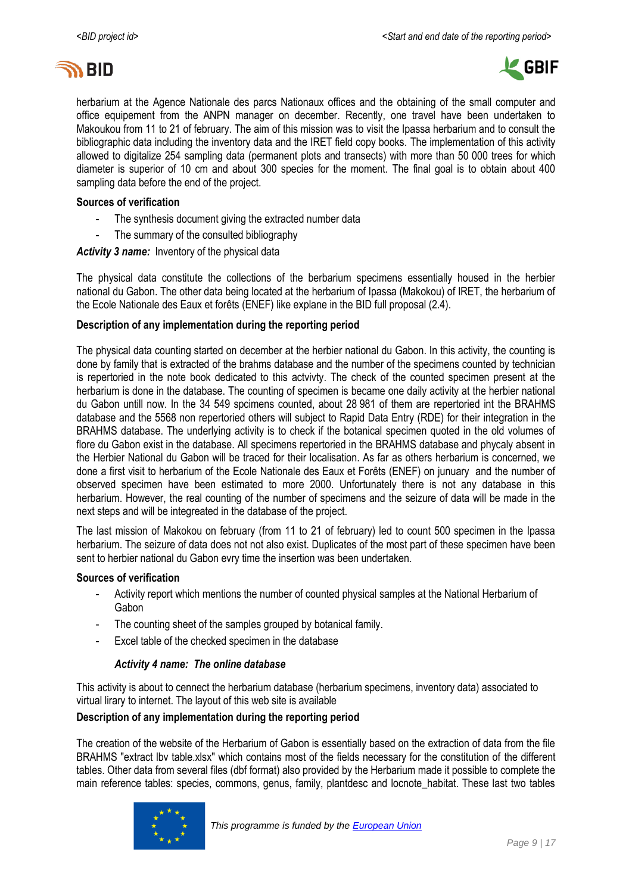



herbarium at the Agence Nationale des parcs Nationaux offices and the obtaining of the small computer and office equipement from the ANPN manager on december. Recently, one travel have been undertaken to Makoukou from 11 to 21 of february. The aim of this mission was to visit the Ipassa herbarium and to consult the bibliographic data including the inventory data and the IRET field copy books. The implementation of this activity allowed to digitalize 254 sampling data (permanent plots and transects) with more than 50 000 trees for which diameter is superior of 10 cm and about 300 species for the moment. The final goal is to obtain about 400 sampling data before the end of the project.

#### **Sources of verification**

- The synthesis document giving the extracted number data
- The summary of the consulted bibliography

*Activity 3 name:* Inventory of the physical data

The physical data constitute the collections of the berbarium specimens essentially housed in the herbier national du Gabon. The other data being located at the herbarium of Ipassa (Makokou) of IRET, the herbarium of the Ecole Nationale des Eaux et forêts (ENEF) like explane in the BID full proposal (2.4).

#### **Description of any implementation during the reporting period**

The physical data counting started on december at the herbier national du Gabon. In this activity, the counting is done by family that is extracted of the brahms database and the number of the specimens counted by technician is repertoried in the note book dedicated to this actvivty. The check of the counted specimen present at the herbarium is done in the database. The counting of specimen is became one daily activity at the herbier national du Gabon untill now. In the 34 549 spcimens counted, about 28 981 of them are repertoried int the BRAHMS database and the 5568 non repertoried others will subject to Rapid Data Entry (RDE) for their integration in the BRAHMS database. The underlying activity is to check if the botanical specimen quoted in the old volumes of flore du Gabon exist in the database. All specimens repertoried in the BRAHMS database and phycaly absent in the Herbier National du Gabon will be traced for their localisation. As far as others herbarium is concerned, we done a first visit to herbarium of the Ecole Nationale des Eaux et Forêts (ENEF) on junuary and the number of observed specimen have been estimated to more 2000. Unfortunately there is not any database in this herbarium. However, the real counting of the number of specimens and the seizure of data will be made in the next steps and will be integreated in the database of the project.

The last mission of Makokou on february (from 11 to 21 of february) led to count 500 specimen in the Ipassa herbarium. The seizure of data does not not also exist. Duplicates of the most part of these specimen have been sent to herbier national du Gabon evry time the insertion was been undertaken.

#### **Sources of verification**

- Activity report which mentions the number of counted physical samples at the National Herbarium of Gabon
- The counting sheet of the samples grouped by botanical family.
- Excel table of the checked specimen in the database

#### *Activity 4 name: The online database*

This activity is about to cennect the herbarium database (herbarium specimens, inventory data) associated to virtual lirary to internet. The layout of this web site is available

#### **Description of any implementation during the reporting period**

The creation of the website of the Herbarium of Gabon is essentially based on the extraction of data from the file BRAHMS "extract lbv table.xlsx" which contains most of the fields necessary for the constitution of the different tables. Other data from several files (dbf format) also provided by the Herbarium made it possible to complete the main reference tables: species, commons, genus, family, plantdesc and locnote habitat. These last two tables

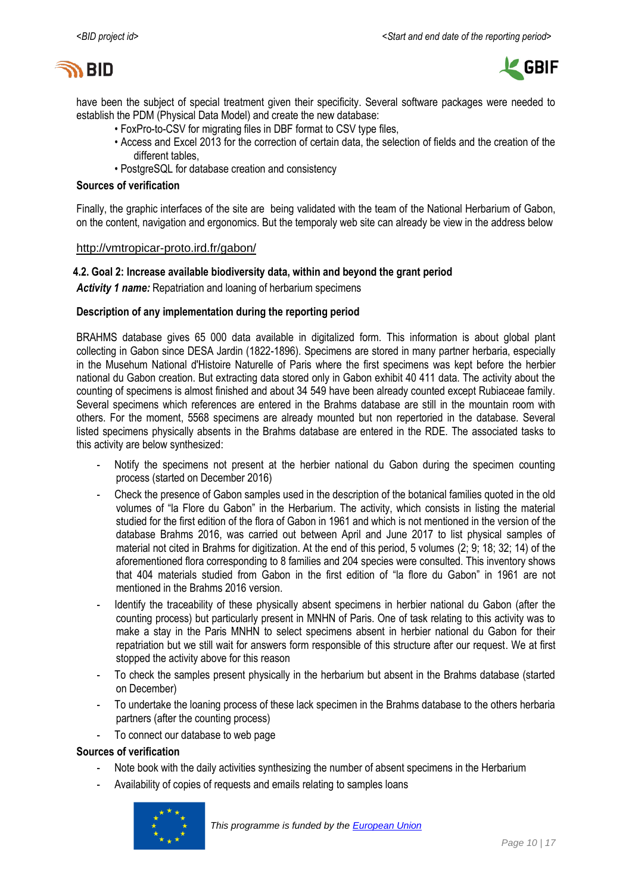



have been the subject of special treatment given their specificity. Several software packages were needed to establish the PDM (Physical Data Model) and create the new database:

- FoxPro-to-CSV for migrating files in DBF format to CSV type files,
- Access and Excel 2013 for the correction of certain data, the selection of fields and the creation of the different tables,
- PostgreSQL for database creation and consistency

#### **Sources of verification**

Finally, the graphic interfaces of the site are being validated with the team of the National Herbarium of Gabon, on the content, navigation and ergonomics. But the temporaly web site can already be view in the address below

#### <http://vmtropicar-proto.ird.fr/gabon/>

#### **4.2. Goal 2: Increase available biodiversity data, within and beyond the grant period**

*Activity 1 name:* Repatriation and loaning of herbarium specimens

#### **Description of any implementation during the reporting period**

BRAHMS database gives 65 000 data available in digitalized form. This information is about global plant collecting in Gabon since DESA Jardin (1822-1896). Specimens are stored in many partner herbaria, especially in the Musehum National d'Histoire Naturelle of Paris where the first specimens was kept before the herbier national du Gabon creation. But extracting data stored only in Gabon exhibit 40 411 data. The activity about the counting of specimens is almost finished and about 34 549 have been already counted except Rubiaceae family. Several specimens which references are entered in the Brahms database are still in the mountain room with others. For the moment, 5568 specimens are already mounted but non repertoried in the database. Several listed specimens physically absents in the Brahms database are entered in the RDE. The associated tasks to this activity are below synthesized:

- Notify the specimens not present at the herbier national du Gabon during the specimen counting process (started on December 2016)
- Check the presence of Gabon samples used in the description of the botanical families quoted in the old volumes of "la Flore du Gabon" in the Herbarium. The activity, which consists in listing the material studied for the first edition of the flora of Gabon in 1961 and which is not mentioned in the version of the database Brahms 2016, was carried out between April and June 2017 to list physical samples of material not cited in Brahms for digitization. At the end of this period, 5 volumes (2; 9; 18; 32; 14) of the aforementioned flora corresponding to 8 families and 204 species were consulted. This inventory shows that 404 materials studied from Gabon in the first edition of "la flore du Gabon" in 1961 are not mentioned in the Brahms 2016 version.
- Identify the traceability of these physically absent specimens in herbier national du Gabon (after the counting process) but particularly present in MNHN of Paris. One of task relating to this activity was to make a stay in the Paris MNHN to select specimens absent in herbier national du Gabon for their repatriation but we still wait for answers form responsible of this structure after our request. We at first stopped the activity above for this reason
- To check the samples present physically in the herbarium but absent in the Brahms database (started on December)
- To undertake the loaning process of these lack specimen in the Brahms database to the others herbaria partners (after the counting process)
- To connect our database to web page

#### **Sources of verification**

- Note book with the daily activities synthesizing the number of absent specimens in the Herbarium
- Availability of copies of requests and emails relating to samples loans

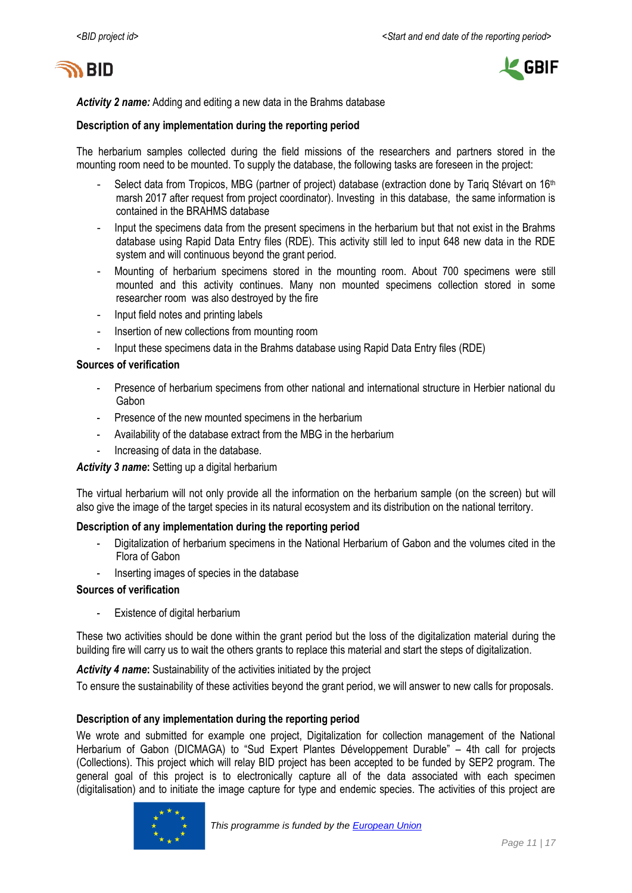



*Activity 2 name:* Adding and editing a new data in the Brahms database

#### **Description of any implementation during the reporting period**

The herbarium samples collected during the field missions of the researchers and partners stored in the mounting room need to be mounted. To supply the database, the following tasks are foreseen in the project:

- Select data from Tropicos, MBG (partner of project) database (extraction done by Tariq Stévart on 16<sup>th</sup> marsh 2017 after request from project coordinator). Investing in this database, the same information is contained in the BRAHMS database
- Input the specimens data from the present specimens in the herbarium but that not exist in the Brahms database using Rapid Data Entry files (RDE). This activity still led to input 648 new data in the RDE system and will continuous beyond the grant period.
- Mounting of herbarium specimens stored in the mounting room. About 700 specimens were still mounted and this activity continues. Many non mounted specimens collection stored in some researcher room was also destroyed by the fire
- Input field notes and printing labels
- Insertion of new collections from mounting room
- Input these specimens data in the Brahms database using Rapid Data Entry files (RDE)

#### **Sources of verification**

- Presence of herbarium specimens from other national and international structure in Herbier national du Gabon
- Presence of the new mounted specimens in the herbarium
- Availability of the database extract from the MBG in the herbarium
- Increasing of data in the database.

#### *Activity 3 name***:** Setting up a digital herbarium

The virtual herbarium will not only provide all the information on the herbarium sample (on the screen) but will also give the image of the target species in its natural ecosystem and its distribution on the national territory.

#### **Description of any implementation during the reporting period**

- Digitalization of herbarium specimens in the National Herbarium of Gabon and the volumes cited in the Flora of Gabon
- Inserting images of species in the database

#### **Sources of verification**

- Existence of digital herbarium

These two activities should be done within the grant period but the loss of the digitalization material during the building fire will carry us to wait the others grants to replace this material and start the steps of digitalization.

#### *Activity 4 name***:** Sustainability of the activities initiated by the project

To ensure the sustainability of these activities beyond the grant period, we will answer to new calls for proposals.

#### **Description of any implementation during the reporting period**

We wrote and submitted for example one project, Digitalization for collection management of the National Herbarium of Gabon (DICMAGA) to "Sud Expert Plantes Développement Durable" – 4th call for projects (Collections). This project which will relay BID project has been accepted to be funded by SEP2 program. The general goal of this project is to electronically capture all of the data associated with each specimen (digitalisation) and to initiate the image capture for type and endemic species. The activities of this project are

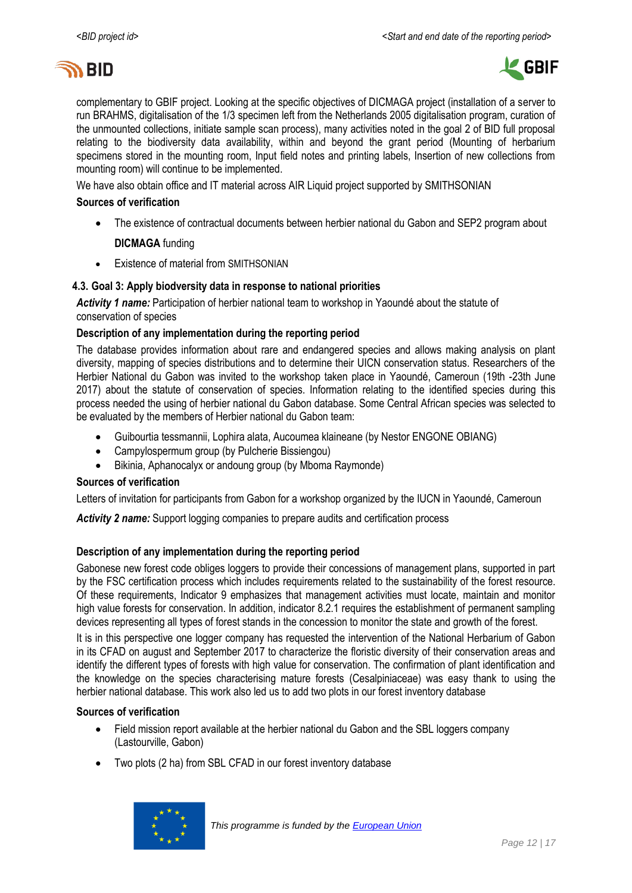



complementary to GBIF project. Looking at the specific objectives of DICMAGA project (installation of a server to run BRAHMS, digitalisation of the 1/3 specimen left from the Netherlands 2005 digitalisation program, curation of the unmounted collections, initiate sample scan process), many activities noted in the goal 2 of BID full proposal relating to the biodiversity data availability, within and beyond the grant period (Mounting of herbarium specimens stored in the mounting room, Input field notes and printing labels, Insertion of new collections from mounting room) will continue to be implemented.

We have also obtain office and IT material across AIR Liquid project supported by SMITHSONIAN

#### **Sources of verification**

- The existence of contractual documents between herbier national du Gabon and SEP2 program about **DICMAGA** funding
- Existence of material from SMITHSONIAN

#### **4.3. Goal 3: Apply biodversity data in response to national priorities**

*Activity 1 name:* Participation of herbier national team to workshop in Yaoundé about the statute of conservation of species

#### **Description of any implementation during the reporting period**

The database provides information about rare and endangered species and allows making analysis on plant diversity, mapping of species distributions and to determine their UICN conservation status. Researchers of the Herbier National du Gabon was invited to the workshop taken place in Yaoundé, Cameroun (19th -23th June 2017) about the statute of conservation of species. Information relating to the identified species during this process needed the using of herbier national du Gabon database. Some Central African species was selected to be evaluated by the members of Herbier national du Gabon team:

- Guibourtia tessmannii, Lophira alata, Aucoumea klaineane (by Nestor ENGONE OBIANG)
- Campylospermum group (by Pulcherie Bissiengou)
- Bikinia, Aphanocalyx or andoung group (by Mboma Raymonde)

#### **Sources of verification**

Letters of invitation for participants from Gabon for a workshop organized by the IUCN in Yaoundé, Cameroun

Activity 2 name: Support logging companies to prepare audits and certification process

#### **Description of any implementation during the reporting period**

Gabonese new forest code obliges loggers to provide their concessions of management plans, supported in part by the FSC certification process which includes requirements related to the sustainability of the forest resource. Of these requirements, Indicator 9 emphasizes that management activities must locate, maintain and monitor high value forests for conservation. In addition, indicator 8.2.1 requires the establishment of permanent sampling devices representing all types of forest stands in the concession to monitor the state and growth of the forest.

It is in this perspective one logger company has requested the intervention of the National Herbarium of Gabon in its CFAD on august and September 2017 to characterize the floristic diversity of their conservation areas and identify the different types of forests with high value for conservation. The confirmation of plant identification and the knowledge on the species characterising mature forests (Cesalpiniaceae) was easy thank to using the herbier national database. This work also led us to add two plots in our forest inventory database

#### **Sources of verification**

- Field mission report available at the herbier national du Gabon and the SBL loggers company (Lastourville, Gabon)
- Two plots (2 ha) from SBL CFAD in our forest inventory database

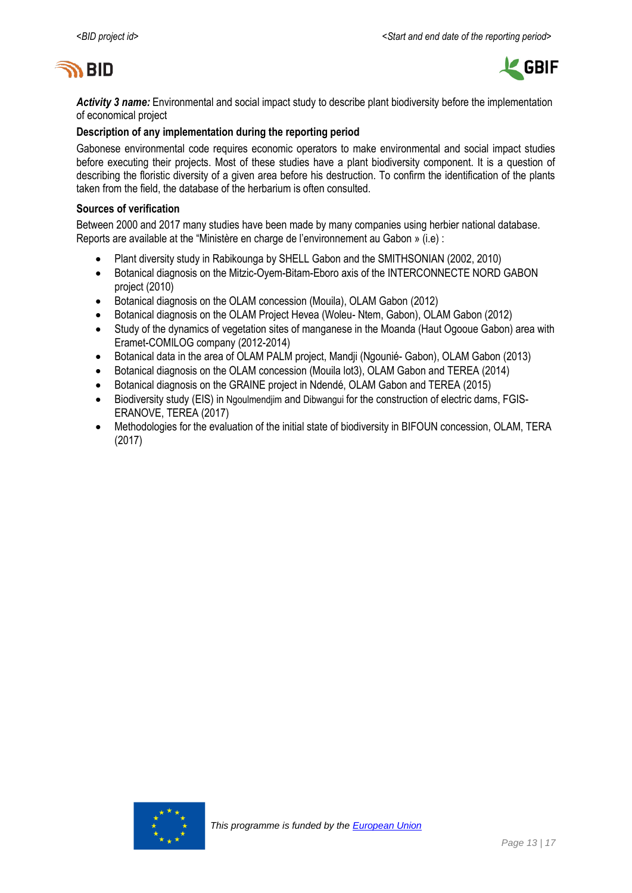



*Activity 3 name:* Environmental and social impact study to describe plant biodiversity before the implementation of economical project

#### **Description of any implementation during the reporting period**

Gabonese environmental code requires economic operators to make environmental and social impact studies before executing their projects. Most of these studies have a plant biodiversity component. It is a question of describing the floristic diversity of a given area before his destruction. To confirm the identification of the plants taken from the field, the database of the herbarium is often consulted.

#### **Sources of verification**

Between 2000 and 2017 many studies have been made by many companies using herbier national database. Reports are available at the "Ministère en charge de l'environnement au Gabon » (i.e) :

- Plant diversity study in Rabikounga by SHELL Gabon and the SMITHSONIAN (2002, 2010)
- Botanical diagnosis on the Mitzic-Oyem-Bitam-Eboro axis of the INTERCONNECTE NORD GABON project (2010)
- Botanical diagnosis on the OLAM concession (Mouila), OLAM Gabon (2012)
- Botanical diagnosis on the OLAM Project Hevea (Woleu- Ntem, Gabon), OLAM Gabon (2012)
- Study of the dynamics of vegetation sites of manganese in the Moanda (Haut Ogooue Gabon) area with Eramet-COMILOG company (2012-2014)
- Botanical data in the area of OLAM PALM project, Mandji (Ngounié- Gabon), OLAM Gabon (2013)
- Botanical diagnosis on the OLAM concession (Mouila lot3), OLAM Gabon and TEREA (2014)
- Botanical diagnosis on the GRAINE project in Ndendé, OLAM Gabon and TEREA (2015)
- Biodiversity study (EIS) in Ngoulmendiim and Dibwangui for the construction of electric dams, FGIS-ERANOVE, TEREA (2017)
- Methodologies for the evaluation of the initial state of biodiversity in BIFOUN concession, OLAM, TERA (2017)

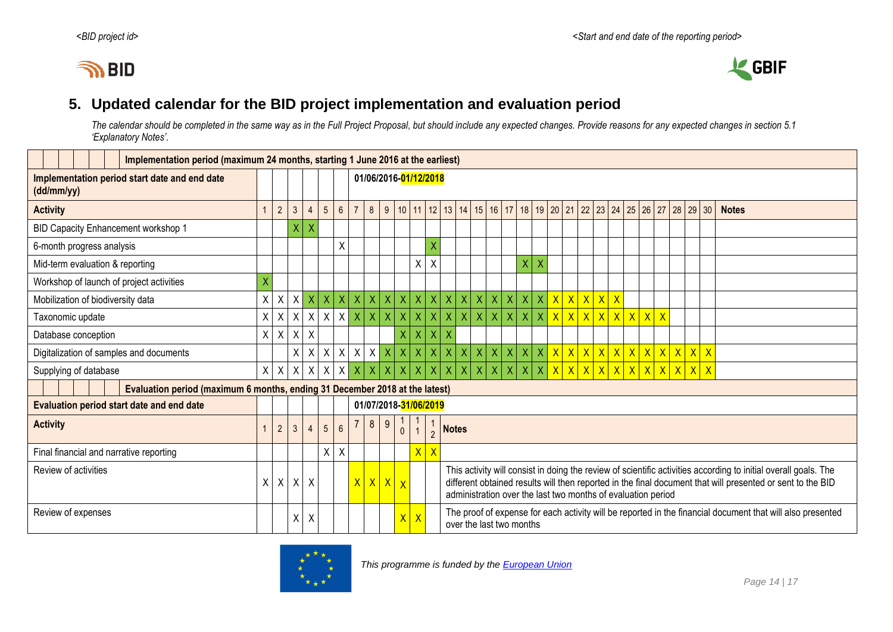



### **5. Updated calendar for the BID project implementation and evaluation period**

*The calendar should be completed in the same way as in the Full Project Proposal, but should include any expected changes. Provide reasons for any expected changes in section 5.1 'Explanatory Notes'.*

<span id="page-13-0"></span>

|                                                                             | Implementation period (maximum 24 months, starting 1 June 2016 at the earliest) |                |                                  |                           |                                           |                         |              |              |                       |                         |                         |                                                                                                                                                                                                                                                                                               |                |                         |                    |                |                |                         |                                        |  |  |  |  |                                                                    |              |              |
|-----------------------------------------------------------------------------|---------------------------------------------------------------------------------|----------------|----------------------------------|---------------------------|-------------------------------------------|-------------------------|--------------|--------------|-----------------------|-------------------------|-------------------------|-----------------------------------------------------------------------------------------------------------------------------------------------------------------------------------------------------------------------------------------------------------------------------------------------|----------------|-------------------------|--------------------|----------------|----------------|-------------------------|----------------------------------------|--|--|--|--|--------------------------------------------------------------------|--------------|--------------|
| Implementation period start date and end date<br>(dd/mm/yy)                 |                                                                                 |                |                                  |                           |                                           | 01/06/2016-01/12/2018   |              |              |                       |                         |                         |                                                                                                                                                                                                                                                                                               |                |                         |                    |                |                |                         |                                        |  |  |  |  |                                                                    |              |              |
| <b>Activity</b>                                                             | $\mathbf{1}$                                                                    | $\overline{2}$ | $\mathfrak{Z}$<br>$\overline{4}$ |                           | $6\overline{6}$<br>$5\overline{)}$        |                         |              |              |                       |                         |                         |                                                                                                                                                                                                                                                                                               |                |                         |                    |                |                |                         |                                        |  |  |  |  | 8 9 10 11 12 13 14 15 16 17 18 19 20 21 22 23 24 25 26 27 28 29 30 |              | <b>Notes</b> |
| BID Capacity Enhancement workshop 1                                         |                                                                                 |                | X                                |                           |                                           |                         |              |              |                       |                         |                         |                                                                                                                                                                                                                                                                                               |                |                         |                    |                |                |                         |                                        |  |  |  |  |                                                                    |              |              |
| 6-month progress analysis                                                   |                                                                                 |                |                                  |                           | $\sf X$                                   |                         |              |              |                       |                         | X                       |                                                                                                                                                                                                                                                                                               |                |                         |                    |                |                |                         |                                        |  |  |  |  |                                                                    |              |              |
| Mid-term evaluation & reporting                                             |                                                                                 |                |                                  |                           |                                           |                         |              |              |                       | $\sf X$                 | $\sf X$                 |                                                                                                                                                                                                                                                                                               |                |                         |                    |                | X              | $\overline{\mathsf{X}}$ |                                        |  |  |  |  |                                                                    |              |              |
| Workshop of launch of project activities                                    | X                                                                               |                |                                  |                           |                                           |                         |              |              |                       |                         |                         |                                                                                                                                                                                                                                                                                               |                |                         |                    |                |                |                         |                                        |  |  |  |  |                                                                    |              |              |
| Mobilization of biodiversity data                                           | X                                                                               | X              | $X \mid X$                       |                           | $\vert x \vert$<br>$\vert\mathsf{X}\vert$ | $\mathsf X$             | $\mathsf{X}$ | X            | $\mathsf{X}$          | $x \mid x$              |                         | $\mathsf{X}$                                                                                                                                                                                                                                                                                  | $\mathsf{X}$   | $\mathsf X$             | $\mathsf{X}$       |                | x   x          |                         | $x \mid x \mid x \mid x \mid x \mid x$ |  |  |  |  |                                                                    |              |              |
| Taxonomic update                                                            | X                                                                               | X              | $\sf X$                          | $\sf X$                   | $\mathsf{X}$<br>$\mathsf{X}$              | $\overline{\mathsf{X}}$ | X            | $\mathsf X$  | $\sf X$               | $\overline{\mathsf{X}}$ | $\overline{\mathsf{X}}$ | $\overline{X}$                                                                                                                                                                                                                                                                                | $\overline{X}$ | $\overline{\mathsf{x}}$ | X                  | $\overline{X}$ | $\overline{X}$ | $\overline{\mathsf{X}}$ | $\overline{\mathsf{X}}$                |  |  |  |  |                                                                    |              |              |
| Database conception                                                         | X                                                                               | X              | $\mathsf{X}$                     | $\boldsymbol{\mathsf{X}}$ |                                           |                         |              |              | X                     | X                       | $\overline{\mathsf{X}}$ | X                                                                                                                                                                                                                                                                                             |                |                         |                    |                |                |                         |                                        |  |  |  |  |                                                                    |              |              |
| Digitalization of samples and documents                                     |                                                                                 |                | X                                | $\boldsymbol{\mathsf{X}}$ | $\mathsf{X}$                              | $X$ $X$                 |              | $X$ $X$      | $\vert x \vert$       | $x \mid x$              |                         | $\vert X \vert$                                                                                                                                                                                                                                                                               | X              | $\bar{\mathsf{X}}$      | $\bar{\mathsf{X}}$ | $x \mid x$     |                | $\mathsf{X}$            |                                        |  |  |  |  |                                                                    | $\mathsf{X}$ |              |
| Supplying of database                                                       | X                                                                               | $\sf X$        | Χ                                | $\boldsymbol{\mathsf{X}}$ | $\mathsf{X}$<br>X                         | $\sf X$                 | X            | $\mathsf{X}$ |                       |                         | $\overline{\mathsf{X}}$ | X                                                                                                                                                                                                                                                                                             |                | $\overline{\mathsf{X}}$ | $\overline{X}$     | $\mathsf{X}$   | $\mathsf{X}$   |                         | $\mathsf{X}$                           |  |  |  |  | <u>  x   x   x   x   x   x   x   x  </u>                           | $\mathsf{X}$ |              |
| Evaluation period (maximum 6 months, ending 31 December 2018 at the latest) |                                                                                 |                |                                  |                           |                                           |                         |              |              |                       |                         |                         |                                                                                                                                                                                                                                                                                               |                |                         |                    |                |                |                         |                                        |  |  |  |  |                                                                    |              |              |
| <b>Evaluation period start date and end date</b>                            |                                                                                 |                |                                  |                           |                                           |                         |              |              | 01/07/2018-31/06/2019 |                         |                         |                                                                                                                                                                                                                                                                                               |                |                         |                    |                |                |                         |                                        |  |  |  |  |                                                                    |              |              |
| <b>Activity</b>                                                             | $\mathbf{1}$                                                                    | $\overline{2}$ | $\mathfrak{Z}$<br>$\overline{4}$ |                           | $6\phantom{1}$<br>5 <sup>5</sup>          |                         | 8            | 9            | $\mathbf{0}$          |                         | $\overline{2}$          | <b>Notes</b>                                                                                                                                                                                                                                                                                  |                |                         |                    |                |                |                         |                                        |  |  |  |  |                                                                    |              |              |
| Final financial and narrative reporting                                     |                                                                                 |                |                                  |                           | X<br>$\boldsymbol{X}$                     |                         |              |              |                       | $X$ $X$                 |                         |                                                                                                                                                                                                                                                                                               |                |                         |                    |                |                |                         |                                        |  |  |  |  |                                                                    |              |              |
| Review of activities                                                        |                                                                                 | X<br>$\times$  | $X$ $X$                          |                           |                                           | $\overline{X}$          |              | x x          | $\overline{X}$        |                         |                         | This activity will consist in doing the review of scientific activities according to initial overall goals. The<br>different obtained results will then reported in the final document that will presented or sent to the BID<br>administration over the last two months of evaluation period |                |                         |                    |                |                |                         |                                        |  |  |  |  |                                                                    |              |              |
| Review of expenses                                                          |                                                                                 |                | $\pmb{\chi}$                     | Χ                         |                                           |                         |              |              | $\mathsf{X}$          | $\mathbf{X}$            |                         | The proof of expense for each activity will be reported in the financial document that will also presented<br>over the last two months                                                                                                                                                        |                |                         |                    |                |                |                         |                                        |  |  |  |  |                                                                    |              |              |

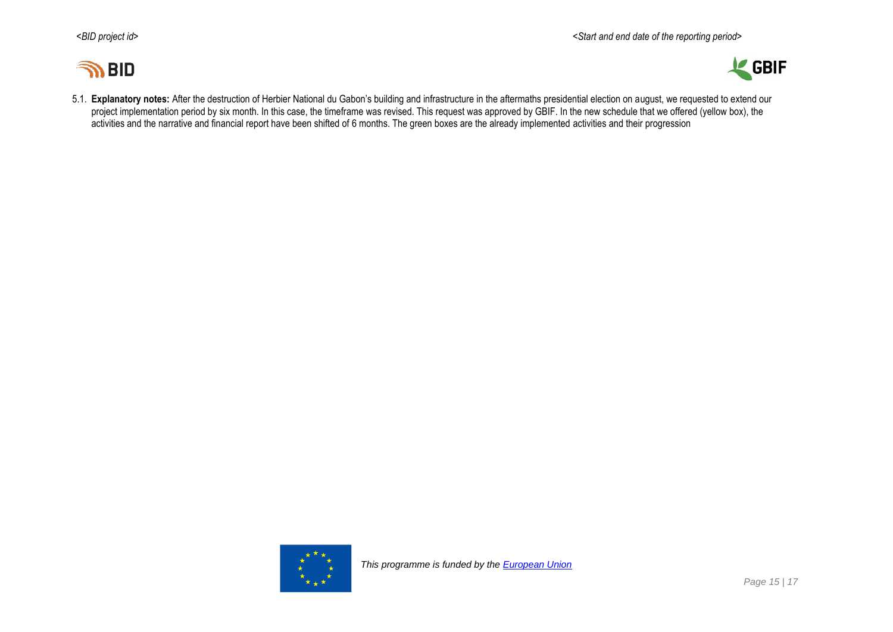



5.1. **Explanatory notes:** After the destruction of Herbier National du Gabon's building and infrastructure in the aftermaths presidential election on august, we requested to extend our project implementation period by six month. In this case, the timeframe was revised. This request was approved by GBIF. In the new schedule that we offered (yellow box), the activities and the narrative and financial report have been shifted of 6 months. The green boxes are the already implemented activities and their progression

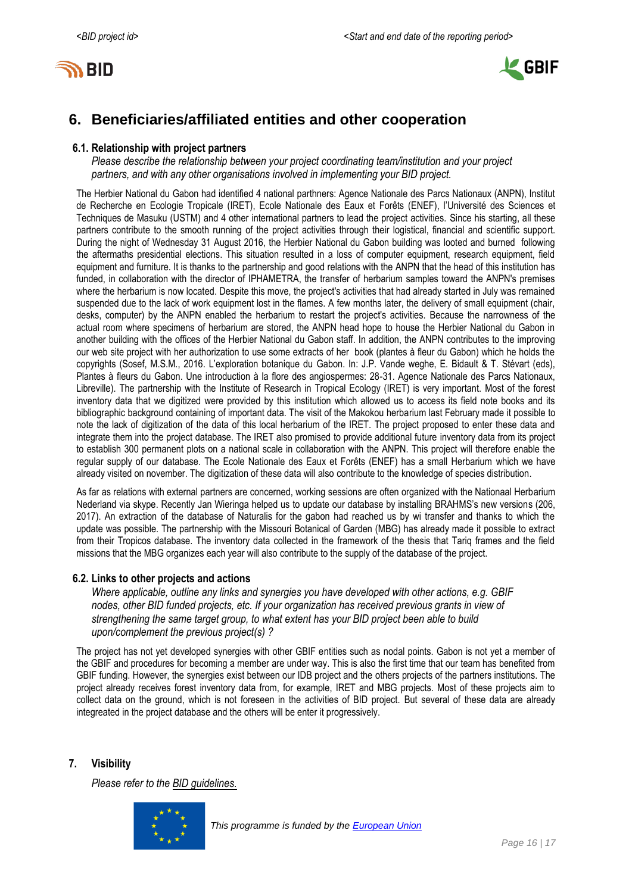



## <span id="page-15-0"></span>**6. Beneficiaries/affiliated entities and other cooperation**

### **6.1. Relationship with project partners**

*Please describe the relationship between your project coordinating team/institution and your project partners, and with any other organisations involved in implementing your BID project.*

The Herbier National du Gabon had identified 4 national parthners: Agence Nationale des Parcs Nationaux (ANPN), Institut de Recherche en Ecologie Tropicale (IRET), Ecole Nationale des Eaux et Forêts (ENEF), l'Université des Sciences et Techniques de Masuku (USTM) and 4 other international partners to lead the project activities. Since his starting, all these partners contribute to the smooth running of the project activities through their logistical, financial and scientific support. During the night of Wednesday 31 August 2016, the Herbier National du Gabon building was looted and burned following the aftermaths presidential elections. This situation resulted in a loss of computer equipment, research equipment, field equipment and furniture. It is thanks to the partnership and good relations with the ANPN that the head of this institution has funded, in collaboration with the director of IPHAMETRA, the transfer of herbarium samples toward the ANPN's premises where the herbarium is now located. Despite this move, the project's activities that had already started in July was remained suspended due to the lack of work equipment lost in the flames. A few months later, the delivery of small equipment (chair, desks, computer) by the ANPN enabled the herbarium to restart the project's activities. Because the narrowness of the actual room where specimens of herbarium are stored, the ANPN head hope to house the Herbier National du Gabon in another building with the offices of the Herbier National du Gabon staff. In addition, the ANPN contributes to the improving our web site project with her authorization to use some extracts of her book (plantes à fleur du Gabon) which he holds the copyrights (Sosef, M.S.M., 2016. L'exploration botanique du Gabon. In: J.P. Vande weghe, E. Bidault & T. Stévart (eds), Plantes à fleurs du Gabon. Une introduction à la flore des angiospermes: 28-31. Agence Nationale des Parcs Nationaux, Libreville). The partnership with the Institute of Research in Tropical Ecology (IRET) is very important. Most of the forest inventory data that we digitized were provided by this institution which allowed us to access its field note books and its bibliographic background containing of important data. The visit of the Makokou herbarium last February made it possible to note the lack of digitization of the data of this local herbarium of the IRET. The project proposed to enter these data and integrate them into the project database. The IRET also promised to provide additional future inventory data from its project to establish 300 permanent plots on a national scale in collaboration with the ANPN. This project will therefore enable the regular supply of our database. The Ecole Nationale des Eaux et Forêts (ENEF) has a small Herbarium which we have already visited on november. The digitization of these data will also contribute to the knowledge of species distribution.

As far as relations with external partners are concerned, working sessions are often organized with the Nationaal Herbarium Nederland via skype. Recently Jan Wieringa helped us to update our database by installing BRAHMS's new versions (206, 2017). An extraction of the database of Naturalis for the gabon had reached us by wi transfer and thanks to which the update was possible. The partnership with the Missouri Botanical of Garden (MBG) has already made it possible to extract from their Tropicos database. The inventory data collected in the framework of the thesis that Tariq frames and the field missions that the MBG organizes each year will also contribute to the supply of the database of the project.

### **6.2. Links to other projects and actions**

*Where applicable, outline any links and synergies you have developed with other actions, e.g. GBIF nodes, other BID funded projects, etc. If your organization has received previous grants in view of strengthening the same target group, to what extent has your BID project been able to build upon/complement the previous project(s) ?*

The project has not yet developed synergies with other GBIF entities such as nodal points. Gabon is not yet a member of the GBIF and procedures for becoming a member are under way. This is also the first time that our team has benefited from GBIF funding. However, the synergies exist between our IDB project and the others projects of the partners institutions. The project already receives forest inventory data from, for example, IRET and MBG projects. Most of these projects aim to collect data on the ground, which is not foreseen in the activities of BID project. But several of these data are already integreated in the project database and the others will be enter it progressively.

### <span id="page-15-1"></span>**7. Visibility**

*Please refer to the [BID guidelines.](http://bid.gbif.org/en/community/communication-guidelines/)*